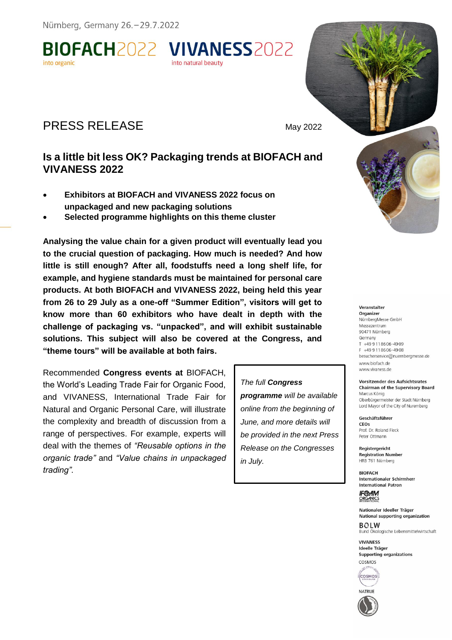Nürnberg, Germany 26. - 29.7.2022

BIOFACH2022 VIVANESS2022 into organic

# PRESS RELEASE May 2022

## **Is a little bit less OK? Packaging trends at BIOFACH and VIVANESS 2022**

into natural heauty

- **Exhibitors at BIOFACH and VIVANESS 2022 focus on unpackaged and new packaging solutions**
- **Selected programme highlights on this theme cluster**

**Analysing the value chain for a given product will eventually lead you to the crucial question of packaging. How much is needed? And how little is still enough? After all, foodstuffs need a long shelf life, for example, and hygiene standards must be maintained for personal care products. At both BIOFACH and VIVANESS 2022, being held this year from 26 to 29 July as a one-off "Summer Edition", visitors will get to know more than 60 exhibitors who have dealt in depth with the challenge of packaging vs. "unpacked", and will exhibit sustainable solutions. This subject will also be covered at the Congress, and "theme tours" will be available at both fairs.**

Recommended **Congress events at** BIOFACH, the World's Leading Trade Fair for Organic Food, and VIVANESS, International Trade Fair for Natural and Organic Personal Care, will illustrate the complexity and breadth of discussion from a range of perspectives. For example, experts will deal with the themes of *"Reusable options in the organic trade"* and *"Value chains in unpackaged trading"*.

*The full Congress programme will be available online from the beginning of June, and more details will be provided in the next Press Release on the Congresses in July.*



#### Veranstalter

Organizer NürnbergMesse GmbH Messezentrum 90471 Nürnberg Germany T +49 9 11 86 06-49 09 F +49 9 11 86 06 - 49 08 besucherservice@nuernbergmesse.de www.biofach.de www.vivaness.de

Vorsitzender des Aufsichtsrates **Chairman of the Supervisory Board** Marcus König Oberbürgermeister der Stadt Nürnberg Lord Mayor of the City of Nuremberg

Geschäftsführer CEOs Prof. Dr. Roland Fleck Peter Ottmann

Registergericht **Registration Number** HRB 761 Nürnberg

**RIOFACH Internationaler Schirmherr International Patron** 

**IFO-AM**<br>ORGANICS

Nationaler Ideeller Träger National supporting organization

 $ROIM$ Bund Ökologische Lebensmittelwirtschaft

**VIVANESS Ideelle Träger Supporting organizations** COSMOS



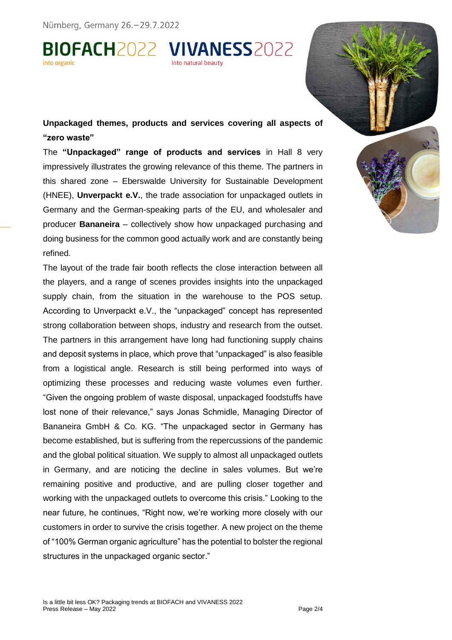Nürnberg, Germany 26.-29.7.2022

BIOFACH2022 VIVANESS2022



**Unpackaged themes, products and services covering all aspects of "zero waste"**

The **"Unpackaged" range of products and services** in Hall 8 very impressively illustrates the growing relevance of this theme. The partners in this shared zone – Eberswalde University for Sustainable Development (HNEE), **Unverpackt e.V.**, the trade association for unpackaged outlets in Germany and the German-speaking parts of the EU, and wholesaler and producer **Bananeira** – collectively show how unpackaged purchasing and doing business for the common good actually work and are constantly being refined.

The layout of the trade fair booth reflects the close interaction between all the players, and a range of scenes provides insights into the unpackaged supply chain, from the situation in the warehouse to the POS setup. According to Unverpackt e.V., the "unpackaged" concept has represented strong collaboration between shops, industry and research from the outset. The partners in this arrangement have long had functioning supply chains and deposit systems in place, which prove that "unpackaged" is also feasible from a logistical angle. Research is still being performed into ways of optimizing these processes and reducing waste volumes even further. "Given the ongoing problem of waste disposal, unpackaged foodstuffs have lost none of their relevance," says Jonas Schmidle, Managing Director of Bananeira GmbH & Co. KG. "The unpackaged sector in Germany has become established, but is suffering from the repercussions of the pandemic and the global political situation. We supply to almost all unpackaged outlets in Germany, and are noticing the decline in sales volumes. But we're remaining positive and productive, and are pulling closer together and working with the unpackaged outlets to overcome this crisis." Looking to the near future, he continues, "Right now, we're working more closely with our customers in order to survive the crisis together. A new project on the theme of "100% German organic agriculture" has the potential to bolster the regional structures in the unpackaged organic sector."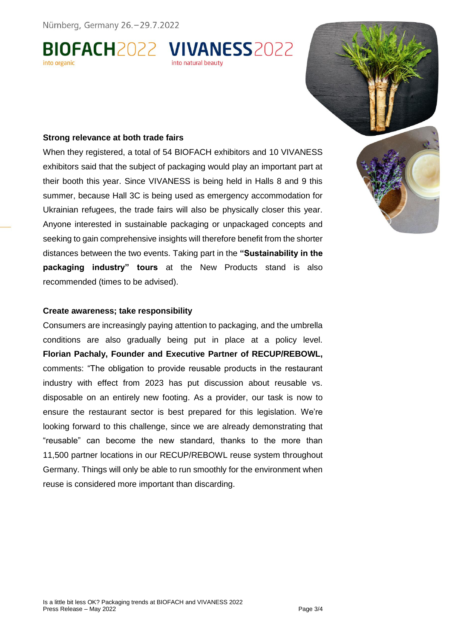Nürnberg, Germany 26.-29.7.2022

BIOFACH2022 VIVANESS2022



## **Strong relevance at both trade fairs**

When they registered, a total of 54 BIOFACH exhibitors and 10 VIVANESS exhibitors said that the subject of packaging would play an important part at their booth this year. Since VIVANESS is being held in Halls 8 and 9 this summer, because Hall 3C is being used as emergency accommodation for Ukrainian refugees, the trade fairs will also be physically closer this year. Anyone interested in sustainable packaging or unpackaged concepts and seeking to gain comprehensive insights will therefore benefit from the shorter distances between the two events. Taking part in the **"Sustainability in the packaging industry" tours** at the New Products stand is also recommended (times to be advised).

### **Create awareness; take responsibility**

Consumers are increasingly paying attention to packaging, and the umbrella conditions are also gradually being put in place at a policy level. **Florian Pachaly, Founder and Executive Partner of RECUP/REBOWL,** comments: "The obligation to provide reusable products in the restaurant industry with effect from 2023 has put discussion about reusable vs. disposable on an entirely new footing. As a provider, our task is now to ensure the restaurant sector is best prepared for this legislation. We're looking forward to this challenge, since we are already demonstrating that "reusable" can become the new standard, thanks to the more than 11,500 partner locations in our RECUP/REBOWL reuse system throughout Germany. Things will only be able to run smoothly for the environment when reuse is considered more important than discarding.